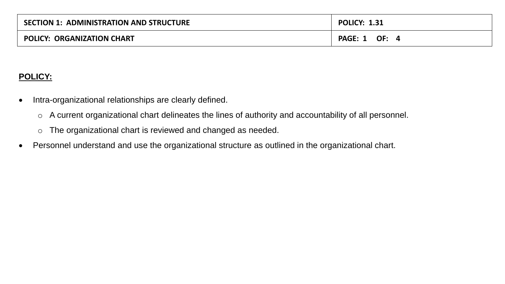| <b>SECTION 1: ADMINISTRATION AND STRUCTURE</b> | <b>POLICY: 1.31</b> |
|------------------------------------------------|---------------------|
| <b>POLICY: ORGANIZATION CHART</b>              | PAGE: 1<br>OF:      |

#### **POLICY:**

- Intra-organizational relationships are clearly defined.
	- o A current organizational chart delineates the lines of authority and accountability of all personnel.
	- o The organizational chart is reviewed and changed as needed.
- Personnel understand and use the organizational structure as outlined in the organizational chart.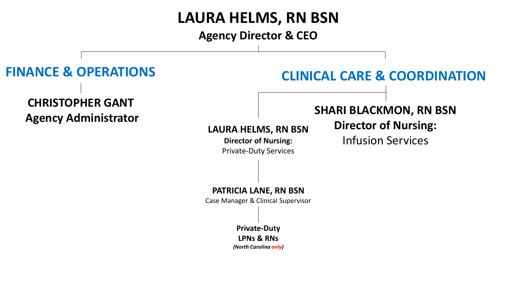# **LAURA HELMS, RN BSN**

**Agency Director & CEO**

## **LAURA HELMS, RN BSN Director of Nursing:**  Private-Duty Services **SHARI BLACKMON, RN BSN Director of Nursing:**  Infusion Services **CHRISTOPHER GANT Agency Administrator FINANCE & OPERATIONS CLINICAL CARE & COORDINATION PATRICIA LANE, RN BSN** Case Manager & Clinical Supervisor **Private-Duty LPNs & RNs**

*(North Carolina only)*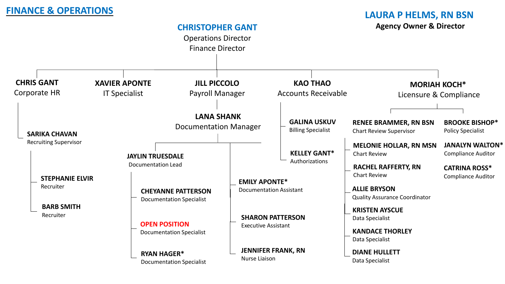### **FINANCE & OPERATIONS**

#### **LAURA P HELMS, RN BSN Agency Owner & Director**

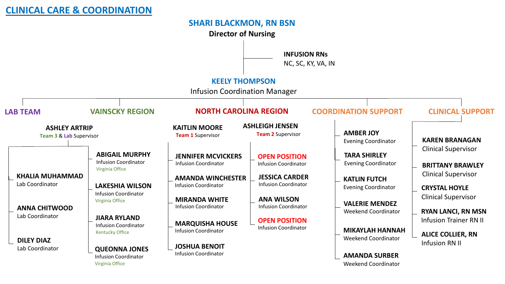#### **SHARI BLACKMON, RN BSN**

**Director of Nursing**